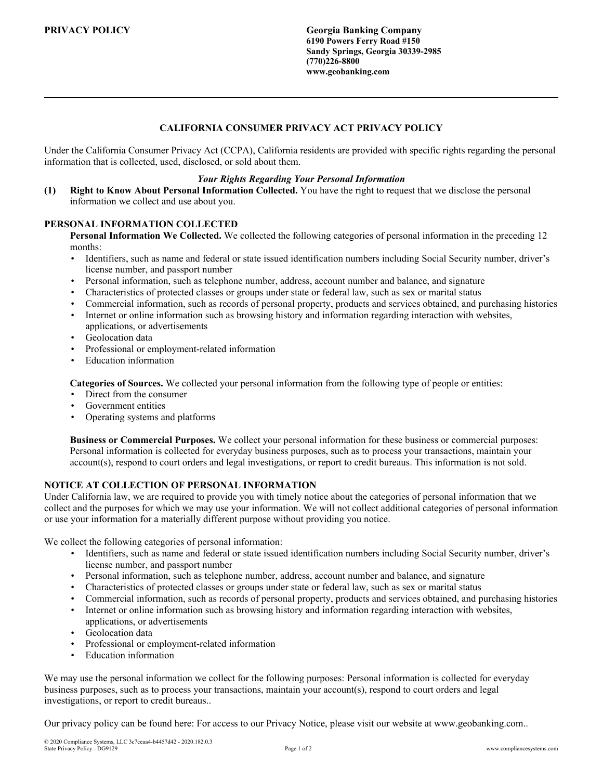**PRIVACY POLICY Georgia Banking Company 6190 Powers Ferry Road #150 Sandy Springs, Georgia 30339-2985 (770)226-8800 www.geobanking.com**

# **CALIFORNIA CONSUMER PRIVACY ACT PRIVACY POLICY**

Under the California Consumer Privacy Act (CCPA), California residents are provided with specific rights regarding the personal information that is collected, used, disclosed, or sold about them.

#### *Your Rights Regarding Your Personal Information*

**(1) Right to Know About Personal Information Collected.** You have the right to request that we disclose the personal information we collect and use about you.

#### **PERSONAL INFORMATION COLLECTED**

**Personal Information We Collected.** We collected the following categories of personal information in the preceding 12 months:

- Identifiers, such as name and federal or state issued identification numbers including Social Security number, driver's license number, and passport number
- Personal information, such as telephone number, address, account number and balance, and signature
- Characteristics of protected classes or groups under state or federal law, such as sex or marital status
- Commercial information, such as records of personal property, products and services obtained, and purchasing histories
- Internet or online information such as browsing history and information regarding interaction with websites, applications, or advertisements
- Geolocation data
- Professional or employment-related information
- Education information

**Categories of Sources.** We collected your personal information from the following type of people or entities:

- Direct from the consumer
- Government entities
- Operating systems and platforms

**Business or Commercial Purposes.** We collect your personal information for these business or commercial purposes: Personal information is collected for everyday business purposes, such as to process your transactions, maintain your account(s), respond to court orders and legal investigations, or report to credit bureaus. This information is not sold.

### **NOTICE AT COLLECTION OF PERSONAL INFORMATION**

Under California law, we are required to provide you with timely notice about the categories of personal information that we collect and the purposes for which we may use your information. We will not collect additional categories of personal information or use your information for a materially different purpose without providing you notice.

We collect the following categories of personal information:

- Identifiers, such as name and federal or state issued identification numbers including Social Security number, driver's license number, and passport number
- Personal information, such as telephone number, address, account number and balance, and signature
- Characteristics of protected classes or groups under state or federal law, such as sex or marital status
- Commercial information, such as records of personal property, products and services obtained, and purchasing histories
- Internet or online information such as browsing history and information regarding interaction with websites, applications, or advertisements
- Geolocation data
- Professional or employment-related information
- **Education** information

We may use the personal information we collect for the following purposes: Personal information is collected for everyday business purposes, such as to process your transactions, maintain your account(s), respond to court orders and legal investigations, or report to credit bureaus..

Our privacy policy can be found here: For access to our Privacy Notice, please visit our website at www.geobanking.com..